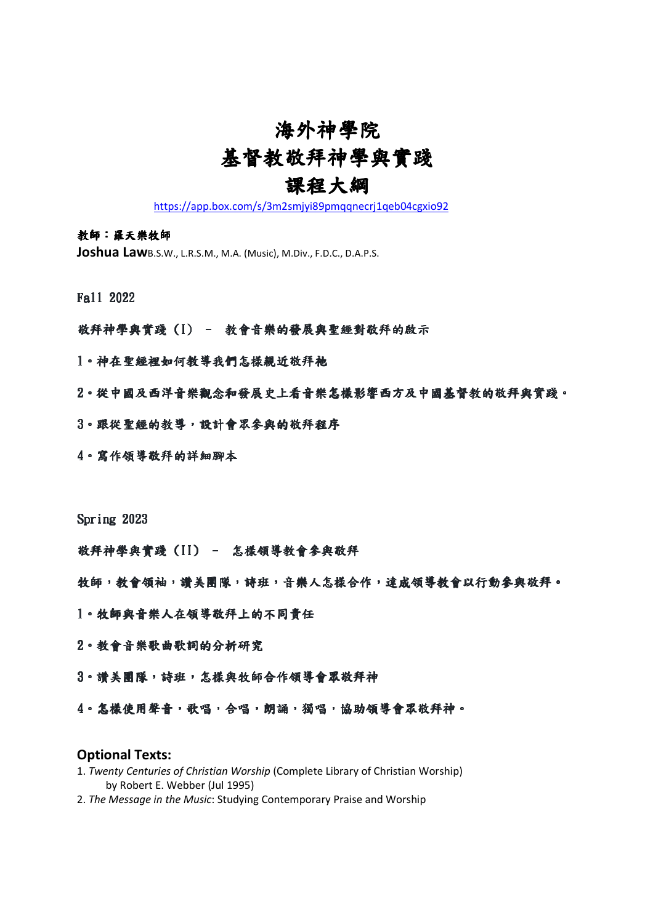# 海外神學院 基督教敬拜神學與實踐

### 課程大綱

https://app.box.com/s/3m2smjyi89pmqqnecrj1qeb04cgxio92

#### 教師:羅天樂牧師

Joshua LawB.S.W., L.R.S.M., M.A. (Music), M.Div., F.D.C., D.A.P.S.

Fall 2022

### 敬拜神學與實踐(I) - 教會音樂的發展與聖經對敬拜的啟示

1。神在聖經裡如何教導我們怎樣親近敬拜祂

2。從中國及西洋音樂觀念和發展史上看音樂怎樣影響西方及中國基督教的敬拜與實踐。

- 3。跟從聖經的教導,設計會眾參與的敬拜程序
- 4。寫作領導敬拜的詳細腳本

Spring 2023

敬拜神學與實踐(II) - 怎樣領導教會參與敬拜

牧師,教會領袖,讚美團隊,詩班,音樂人怎樣合作,達成領導教會以行動參與敬拜。

- 1。牧師與音樂人在領導敬拜上的不同責任
- 2。教會音樂歌曲歌詞的分析研究
- 3。讚美團隊,詩班,怎樣與牧師合作領導會眾敬拜神
- 4。怎樣使用聲音,歌唱,合唱,朗誦,獨唱,協助領導會眾敬拜神。

#### Optional Texts:

- 1. Twenty Centuries of Christian Worship (Complete Library of Christian Worship) by Robert E. Webber (Jul 1995)
- 2. The Message in the Music: Studying Contemporary Praise and Worship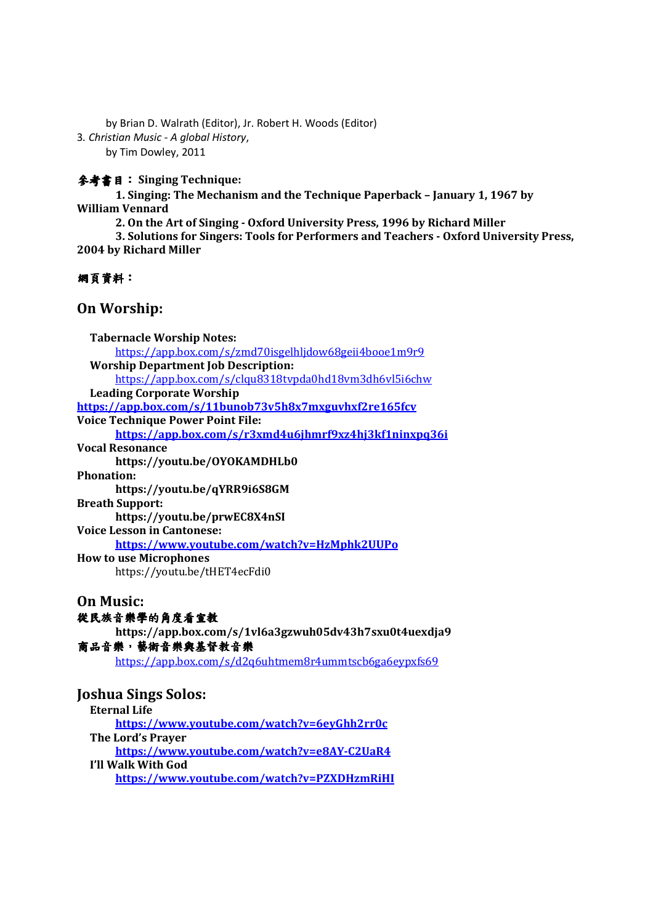by Brian D. Walrath (Editor), Jr. Robert H. Woods (Editor) 3. Christian Music - A global History, by Tim Dowley, 2011

參考書目: Singing Technique:

1. Singing: The Mechanism and the Technique Paperback – January 1, 1967 by William Vennard

2. On the Art of Singing - Oxford University Press, 1996 by Richard Miller

3. Solutions for Singers: Tools for Performers and Teachers - Oxford University Press, 2004 by Richard Miller

#### 網頁資料:

### On Worship:

| <b>Tabernacle Worship Notes:</b>                       |
|--------------------------------------------------------|
| https://app.box.com/s/zmd70isgelhljdow68geii4booe1m9r9 |
| <b>Worship Department Job Description:</b>             |
| https://app.box.com/s/clqu8318tvpda0hd18vm3dh6vl5i6chw |
| <b>Leading Corporate Worship</b>                       |
| https://app.box.com/s/11bunob73v5h8x7mxguvhxf2re165fcv |
| <b>Voice Technique Power Point File:</b>               |
| https://app.box.com/s/r3xmd4u6jhmrf9xz4hj3kf1ninxpq36i |
| <b>Vocal Resonance</b>                                 |
| https://youtu.be/OYOKAMDHLb0                           |
| <b>Phonation:</b>                                      |
| https://youtu.be/qYRR9i6S8GM                           |
| <b>Breath Support:</b>                                 |
| https://youtu.be/prwEC8X4nSI                           |
| <b>Voice Lesson in Cantonese:</b>                      |
| https://www.youtube.com/watch?v=HzMphk2UUPo            |
| <b>How to use Microphones</b>                          |
| https://youtu.be/tHET4ecFdi0                           |
| <b>On Music:</b>                                       |
| 從民族音樂學的角度看宣教                                           |
| https://app.box.com/s/1vl6a3gzwuh05dv43h7sxu0t4uexdja9 |
| 商品音樂,藝術音樂與基督教音樂                                        |
| https://app.box.com/s/d2q6uhtmem8r4ummtscb6ga6eypxfs69 |
|                                                        |
| <b>Joshua Sings Solos:</b>                             |
| <b>Eternal Life</b>                                    |
| https://www.youtube.com/watch?v=6eyGhh2rr0c            |
| The Lord's Prayer                                      |
| $http://www.voutho.com/watch2v=0AVC2H0$                |

https://www.youtube.com/watch?v=e8AY-C2UaR4 I'll Walk With God

https://www.youtube.com/watch?v=PZXDHzmRiHI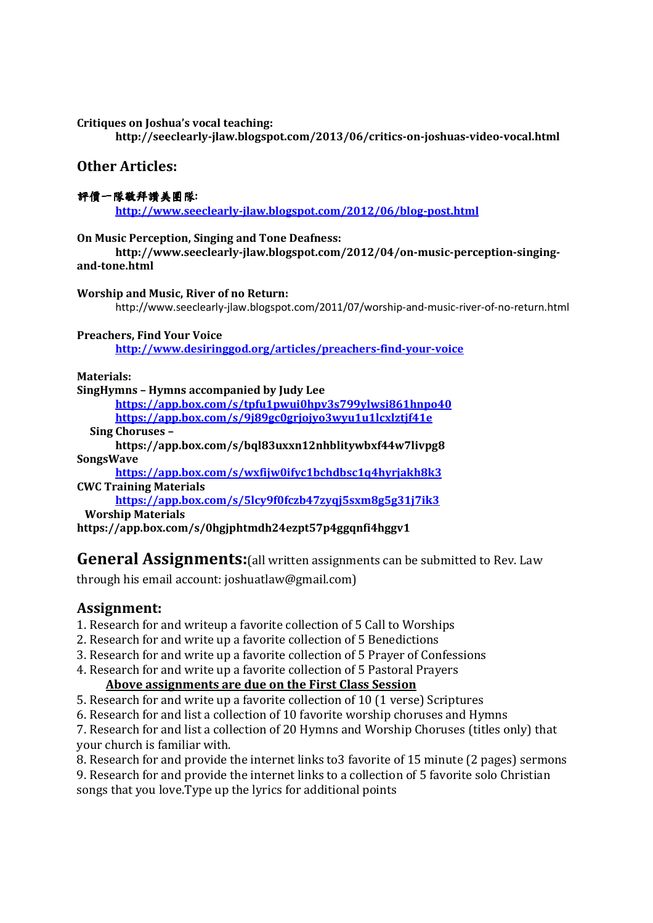Critiques on Joshua's vocal teaching:

http://seeclearly-jlaw.blogspot.com/2013/06/critics-on-joshuas-video-vocal.html

### Other Articles:

#### 評價一隊敬拜讚美團隊:

http://www.seeclearly-jlaw.blogspot.com/2012/06/blog-post.html

#### On Music Perception, Singing and Tone Deafness:

http://www.seeclearly-jlaw.blogspot.com/2012/04/on-music-perception-singingand-tone.html

#### Worship and Music, River of no Return:

http://www.seeclearly-jlaw.blogspot.com/2011/07/worship-and-music-river-of-no-return.html

#### Preachers, Find Your Voice

http://www.desiringgod.org/articles/preachers-find-your-voice

Materials:

#### SingHymns – Hymns accompanied by Judy Lee

https://app.box.com/s/tpfu1pwui0hpv3s799ylwsi861hnpo40 https://app.box.com/s/9j89gc0grjojyo3wyu1u1lcxlztjf41e

Sing Choruses –

#### https://app.box.com/s/bql83uxxn12nhblitywbxf44w7livpg8 SongsWave

https://app.box.com/s/wxfijw0ifyc1bchdbsc1q4hyrjakh8k3 CWC Training Materials

https://app.box.com/s/5lcy9f0fczb47zyqj5sxm8g5g31j7ik3 Worship Materials

https://app.box.com/s/0hgjphtmdh24ezpt57p4ggqnfi4hggv1

### **General Assignments:** (all written assignments can be submitted to Rev. Law

through his email account: joshuatlaw@gmail.com)

### Assignment:

1. Research for and writeup a favorite collection of 5 Call to Worships

- 2. Research for and write up a favorite collection of 5 Benedictions
- 3. Research for and write up a favorite collection of 5 Prayer of Confessions
- 4. Research for and write up a favorite collection of 5 Pastoral Prayers

### Above assignments are due on the First Class Session

- 5. Research for and write up a favorite collection of 10 (1 verse) Scriptures
- 6. Research for and list a collection of 10 favorite worship choruses and Hymns

7. Research for and list a collection of 20 Hymns and Worship Choruses (titles only) that your church is familiar with.

8. Research for and provide the internet links to3 favorite of 15 minute (2 pages) sermons

9. Research for and provide the internet links to a collection of 5 favorite solo Christian songs that you love.Type up the lyrics for additional points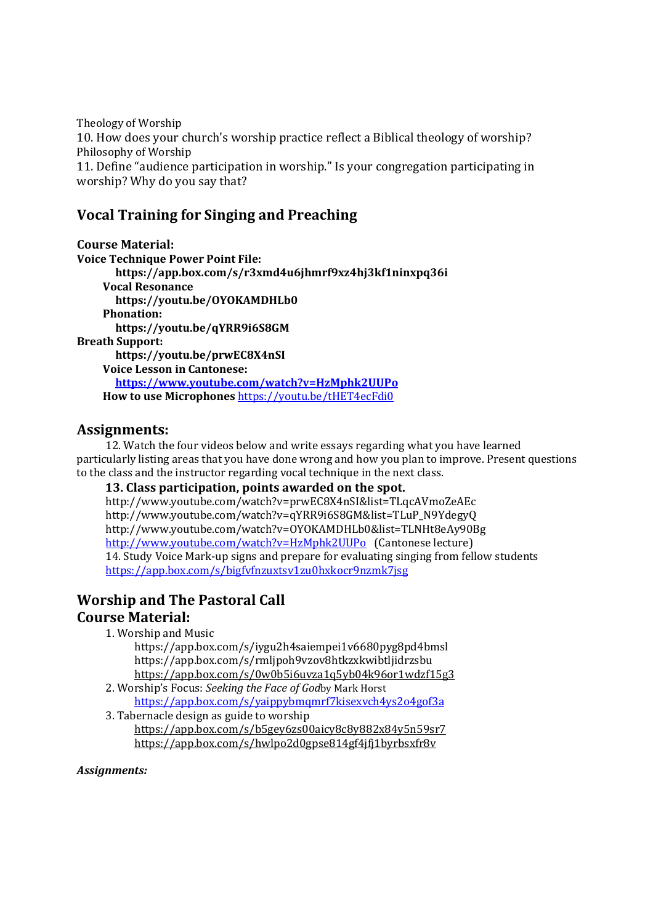Theology of Worship 10. How does your church's worship practice reflect a Biblical theology of worship? Philosophy of Worship 11. Define "audience participation in worship." Is your congregation participating in worship? Why do you say that?

### Vocal Training for Singing and Preaching

Course Material: Voice Technique Power Point File: https://app.box.com/s/r3xmd4u6jhmrf9xz4hj3kf1ninxpq36i Vocal Resonance https://youtu.be/OYOKAMDHLb0 Phonation: https://youtu.be/qYRR9i6S8GM Breath Support: https://youtu.be/prwEC8X4nSI Voice Lesson in Cantonese: https://www.youtube.com/watch?v=HzMphk2UUPo How to use Microphones https://youtu.be/tHET4ecFdi0

### Assignments:

 12. Watch the four videos below and write essays regarding what you have learned particularly listing areas that you have done wrong and how you plan to improve. Present questions to the class and the instructor regarding vocal technique in the next class.

 13. Class participation, points awarded on the spot. http://www.youtube.com/watch?v=prwEC8X4nSI&list=TLqcAVmoZeAEc http://www.youtube.com/watch?v=qYRR9i6S8GM&list=TLuP\_N9YdegyQ http://www.youtube.com/watch?v=OYOKAMDHLb0&list=TLNHt8eAy90Bg http://www.youtube.com/watch?v=HzMphk2UUPo (Cantonese lecture)

### 14. Study Voice Mark-up signs and prepare for evaluating singing from fellow students https://app.box.com/s/bigfvfnzuxtsv1zu0hxkocr9nzmk7jsg

### Worship and The Pastoral Call

### Course Material:

1. Worship and Music

 https://app.box.com/s/iygu2h4saiempei1v6680pyg8pd4bmsl https://app.box.com/s/rmljpoh9vzov8htkzxkwibtljidrzsbu https://app.box.com/s/0w0b5i6uvza1q5yb04k96or1wdzf15g3

- 2. Worship's Focus: Seeking the Face of Godby Mark Horst https://app.box.com/s/yaippybmqmrf7kisexvch4ys2o4gof3a
- 3. Tabernacle design as guide to worship https://app.box.com/s/b5gey6zs00aicy8c8y882x84y5n59sr7 https://app.box.com/s/hwlpo2d0gpse814gf4jfj1byrbsxfr8v

#### Assignments: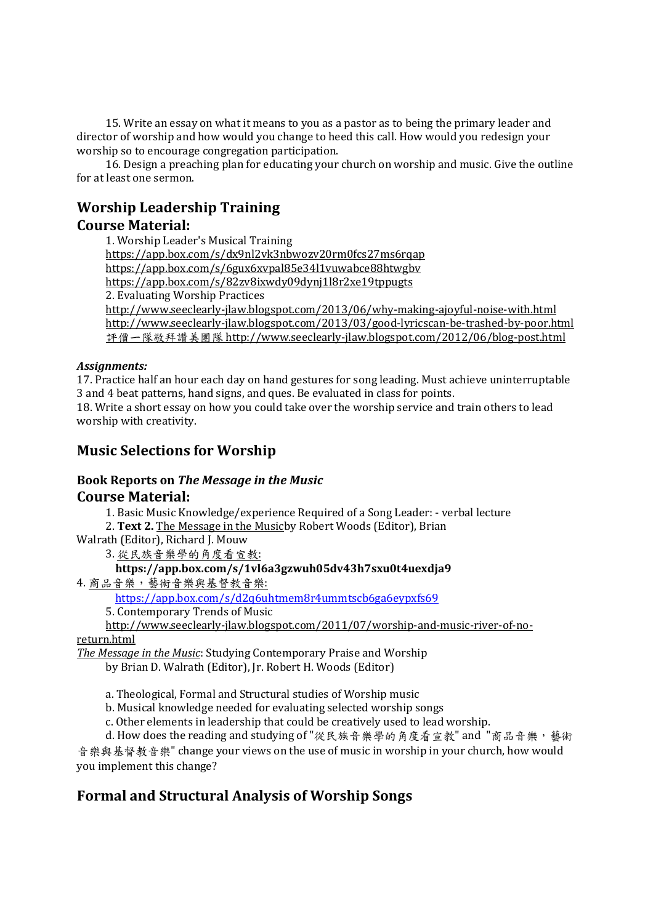15. Write an essay on what it means to you as a pastor as to being the primary leader and director of worship and how would you change to heed this call. How would you redesign your worship so to encourage congregation participation.

 16. Design a preaching plan for educating your church on worship and music. Give the outline for at least one sermon.

## Worship Leadership Training

### Course Material:

 1. Worship Leader's Musical Training https://app.box.com/s/dx9nl2vk3nbwozv20rm0fcs27ms6rqap https://app.box.com/s/6gux6xvpal85e34l1vuwabce88htwgbv https://app.box.com/s/82zv8ixwdy09dynj1l8r2xe19tppugts 2. Evaluating Worship Practices http://www.seeclearly-jlaw.blogspot.com/2013/06/why-making-ajoyful-noise-with.html http://www.seeclearly-jlaw.blogspot.com/2013/03/good-lyricscan-be-trashed-by-poor.html 評價一隊敬拜讚美團隊 http://www.seeclearly-jlaw.blogspot.com/2012/06/blog-post.html

#### Assignments:

17. Practice half an hour each day on hand gestures for song leading. Must achieve uninterruptable 3 and 4 beat patterns, hand signs, and ques. Be evaluated in class for points. 18. Write a short essay on how you could take over the worship service and train others to lead worship with creativity.

### Music Selections for Worship

#### Book Reports on The Message in the Music Course Material:

1. Basic Music Knowledge/experience Required of a Song Leader: - verbal lecture

2. Text 2. The Message in the Musicby Robert Woods (Editor), Brian

Walrath (Editor), Richard J. Mouw

3. 從民族音樂學的角度看宣教:

#### https://app.box.com/s/1vl6a3gzwuh05dv43h7sxu0t4uexdja9

4. 商品音樂,藝術音樂與基督教音樂:

https://app.box.com/s/d2q6uhtmem8r4ummtscb6ga6eypxfs69

5. Contemporary Trends of Music

http://www.seeclearly-jlaw.blogspot.com/2011/07/worship-and-music-river-of-no-

return.html

The Message in the Music: Studying Contemporary Praise and Worship

by Brian D. Walrath (Editor), Jr. Robert H. Woods (Editor)

a. Theological, Formal and Structural studies of Worship music

b. Musical knowledge needed for evaluating selected worship songs

c. Other elements in leadership that could be creatively used to lead worship.

d. How does the reading and studying of "從民族音樂學的角度看宣教" and "商品音樂,藝術

音樂與基督教音樂" change your views on the use of music in worship in your church, how would you implement this change?

### Formal and Structural Analysis of Worship Songs